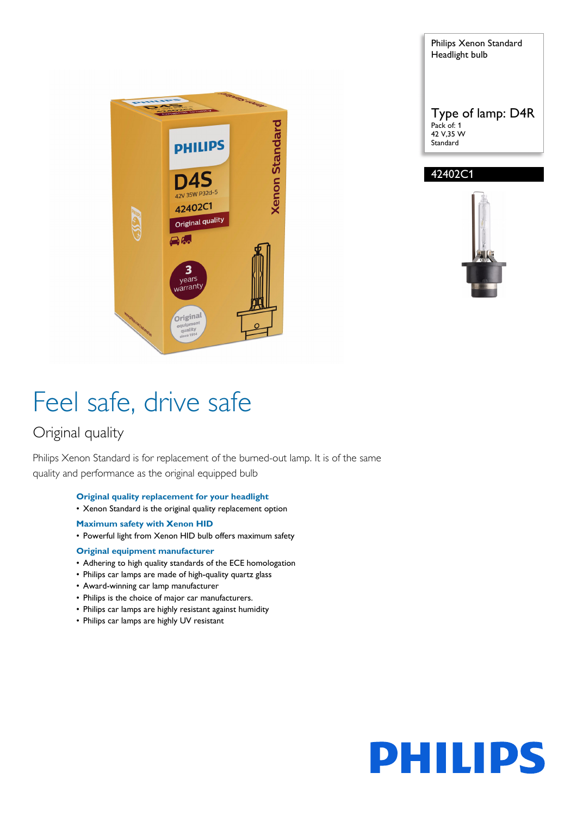





# Feel safe, drive safe

### Original quality

Philips Xenon Standard is for replacement of the burned-out lamp. It is of the same quality and performance as the original equipped bulb

- **Original quality replacement for your headlight**
- Xenon Standard is the original quality replacement option
- **Maximum safety with Xenon HID**
- Powerful light from Xenon HID bulb offers maximum safety

#### **Original equipment manufacturer**

- Adhering to high quality standards of the ECE homologation
- Philips car lamps are made of high-quality quartz glass
- Award-winning car lamp manufacturer
- Philips is the choice of major car manufacturers.
- Philips car lamps are highly resistant against humidity
- Philips car lamps are highly UV resistant

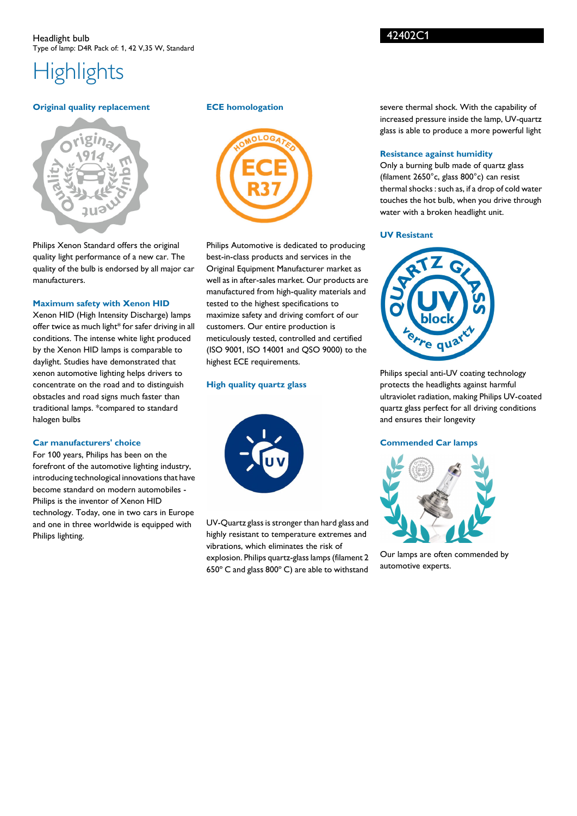## **Highlights**

#### **Original quality replacement**



Philips Xenon Standard offers the original quality light performance of a new car. The quality of the bulb is endorsed by all major car manufacturers.

#### **Maximum safety with Xenon HID**

Xenon HID (High Intensity Discharge) lamps offer twice as much light\* for safer driving in all conditions. The intense white light produced by the Xenon HID lamps is comparable to daylight. Studies have demonstrated that xenon automotive lighting helps drivers to concentrate on the road and to distinguish obstacles and road signs much faster than traditional lamps. \*compared to standard halogen bulbs

#### **Car manufacturers' choice**

For 100 years, Philips has been on the forefront of the automotive lighting industry, introducing technological innovations that have become standard on modern automobiles - Philips is the inventor of Xenon HID technology. Today, one in two cars in Europe and one in three worldwide is equipped with Philips lighting.

#### **ECE homologation**



Philips Automotive is dedicated to producing best-in-class products and services in the Original Equipment Manufacturer market as well as in after-sales market. Our products are manufactured from high-quality materials and tested to the highest specifications to maximize safety and driving comfort of our customers. Our entire production is meticulously tested, controlled and certified (ISO 9001, ISO 14001 and QSO 9000) to the highest ECE requirements.

#### **High quality quartz glass**



UV-Quartz glass is stronger than hard glass and highly resistant to temperature extremes and vibrations, which eliminates the risk of explosion. Philips quartz-glass lamps (filament 2 650º C and glass 800º C) are able to withstand

severe thermal shock. With the capability of increased pressure inside the lamp, UV-quartz glass is able to produce a more powerful light

#### **Resistance against humidity**

Only a burning bulb made of quartz glass (filament 2650°c, glass 800°c) can resist thermal shocks : such as, if a drop of cold water touches the hot bulb, when you drive through water with a broken headlight unit.

#### **UV Resistant**



Philips special anti-UV coating technology protects the headlights against harmful ultraviolet radiation, making Philips UV-coated quartz glass perfect for all driving conditions and ensures their longevity

#### **Commended Car lamps**



Our lamps are often commended by automotive experts.